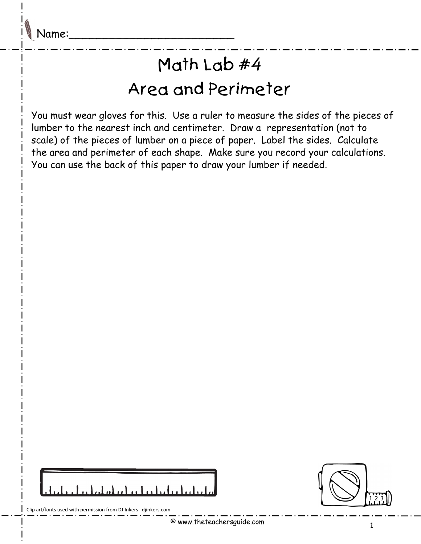## Math Lab #4 Area and Perimeter

You must wear gloves for this. Use a ruler to measure the sides of the pieces of lumber to the nearest inch and centimeter. Draw a representation (not to scale) of the pieces of lumber on a piece of paper. Label the sides. Calculate the area and perimeter of each shape. Make sure you record your calculations. You can use the back of this paper to draw your lumber if needed.

| مانطینا نظیرا بنا بن امام امام ایران رابط |  |  |  |  |
|-------------------------------------------|--|--|--|--|



Clip art/fonts used with permission from DJ Inkers djinkers.com